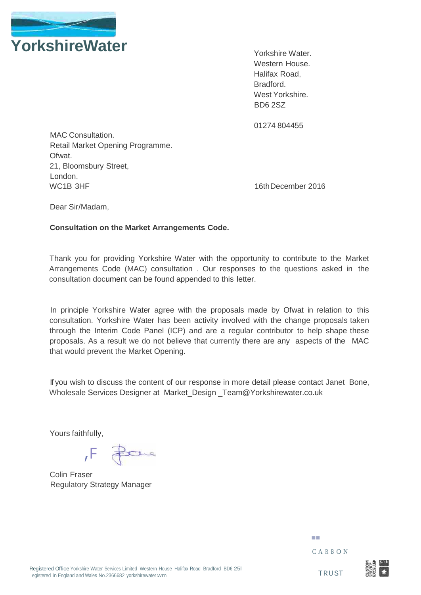

Yorkshire Water. Western House. Halifax Road, Bradford. West Yorkshire. BD6 2SZ

01274 804455

MAC Consultation. Retail Market Opening Programme. Ofwat. 21, Bloomsbury Street, London. WC1B 3HF 2016

Dear Sir/Madam,

### **Consultation on the Market Arrangements Code.**

Thank you for providing Yorkshire Water with the opportunity to contribute to the Market Arrangements Code (MAC) consultation . Our responses to the questions asked in the consultation document can be found appended to this letter.

In principle Yorkshire Water agree with the proposals made by Ofwat in relation to this consultation. Yorkshire Water has been activity involved with the change proposals taken through the Interim Code Panel (ICP) and are a regular contributor to help shape these proposals. As a result we do not believe that currently there are any aspects of the MAC that would prevent the Market Opening.

If you wish to discuss the content of our response in more detail please contact Janet Bone, Wholesale Services Designer at Market Design Team@Yorkshirewater.co.uk

Yours faithfully,

Pare  $,$  F  $\overline{F}$ 

Colin Fraser Regulatory Strategy Manager

- C - A R <sup>B</sup> O N